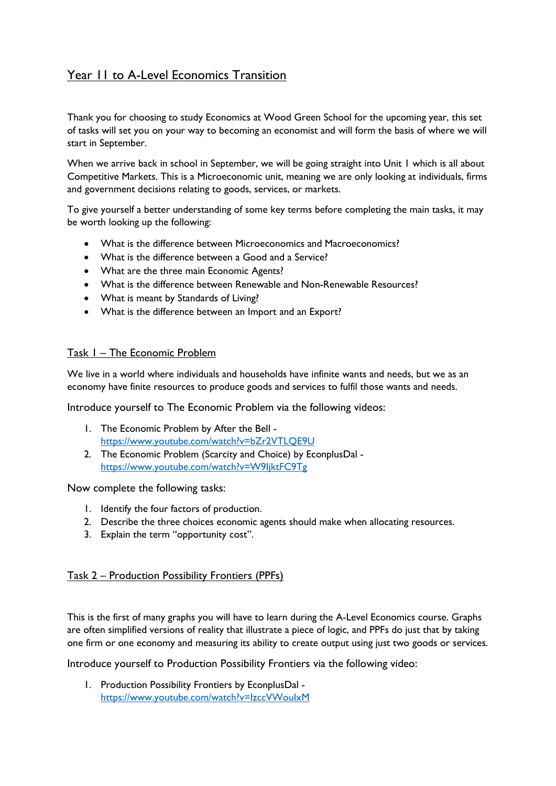# Year 11 to A-Level Economics Transition

Thank you for choosing to study Economics at Wood Green School for the upcoming year, this set of tasks will set you on your way to becoming an economist and will form the basis of where we will start in September.

When we arrive back in school in September, we will be going straight into Unit 1 which is all about Competitive Markets. This is a Microeconomic unit, meaning we are only looking at individuals, firms and government decisions relating to goods, services, or markets.

To give yourself a better understanding of some key terms before completing the main tasks, it may be worth looking up the following:

- What is the difference between Microeconomics and Macroeconomics?
- What is the difference between a Good and a Service?
- What are the three main Economic Agents?
- What is the difference between Renewable and Non-Renewable Resources?
- What is meant by Standards of Living?
- What is the difference between an Import and an Export?

## Task 1 – The Economic Problem

We live in a world where individuals and households have infinite wants and needs, but we as an economy have finite resources to produce goods and services to fulfil those wants and needs.

Introduce yourself to The Economic Problem via the following videos:

- 1. The Economic Problem by After the Bell <https://www.youtube.com/watch?v=bZr2VTLQE9U>
- 2. The Economic Problem (Scarcity and Choice) by EconplusDal <https://www.youtube.com/watch?v=W9IjktFC9Tg>

Now complete the following tasks:

- 1. Identify the four factors of production.
- 2. Describe the three choices economic agents should make when allocating resources.
- 3. Explain the term "opportunity cost".

#### Task 2 – Production Possibility Frontiers (PPFs)

This is the first of many graphs you will have to learn during the A-Level Economics course. Graphs are often simplified versions of reality that illustrate a piece of logic, and PPFs do just that by taking one firm or one economy and measuring its ability to create output using just two goods or services.

Introduce yourself to Production Possibility Frontiers via the following video:

1. Production Possibility Frontiers by EconplusDal <https://www.youtube.com/watch?v=IzccVWouIxM>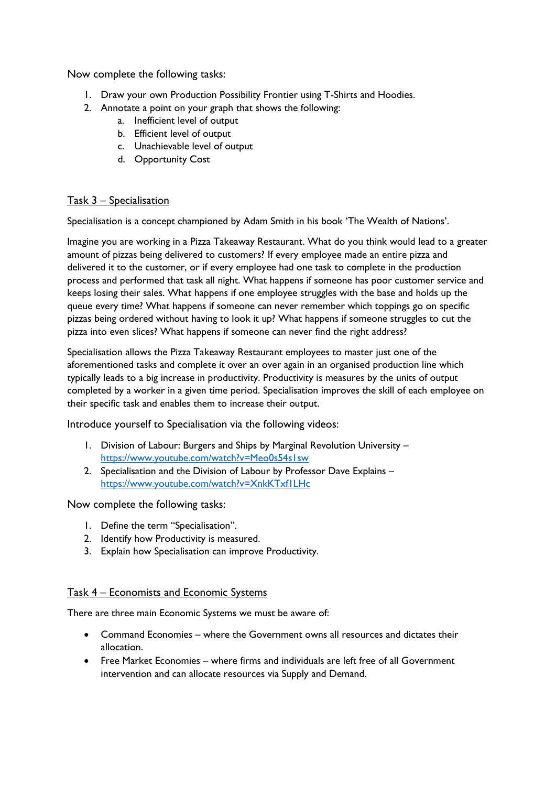Now complete the following tasks:

- 1. Draw your own Production Possibility Frontier using T-Shirts and Hoodies.
- 2. Annotate a point on your graph that shows the following:
	- a. Inefficient level of output
	- b. Efficient level of output
	- c. Unachievable level of output
	- d. Opportunity Cost

## Task 3 – Specialisation

Specialisation is a concept championed by Adam Smith in his book 'The Wealth of Nations'.

Imagine you are working in a Pizza Takeaway Restaurant. What do you think would lead to a greater amount of pizzas being delivered to customers? If every employee made an entire pizza and delivered it to the customer, or if every employee had one task to complete in the production process and performed that task all night. What happens if someone has poor customer service and keeps losing their sales. What happens if one employee struggles with the base and holds up the queue every time? What happens if someone can never remember which toppings go on specific pizzas being ordered without having to look it up? What happens if someone struggles to cut the pizza into even slices? What happens if someone can never find the right address?

Specialisation allows the Pizza Takeaway Restaurant employees to master just one of the aforementioned tasks and complete it over an over again in an organised production line which typically leads to a big increase in productivity. Productivity is measures by the units of output completed by a worker in a given time period. Specialisation improves the skill of each employee on their specific task and enables them to increase their output.

Introduce yourself to Specialisation via the following videos:

- 1. Division of Labour: Burgers and Ships by Marginal Revolution University <https://www.youtube.com/watch?v=Meo0s54s1sw>
- 2. Specialisation and the Division of Labour by Professor Dave Explains <https://www.youtube.com/watch?v=XnkKTxf1LHc>

Now complete the following tasks:

- 1. Define the term "Specialisation".
- 2. Identify how Productivity is measured.
- 3. Explain how Specialisation can improve Productivity.

#### Task 4 – Economists and Economic Systems

There are three main Economic Systems we must be aware of:

- Command Economies where the Government owns all resources and dictates their allocation.
- Free Market Economies where firms and individuals are left free of all Government intervention and can allocate resources via Supply and Demand.